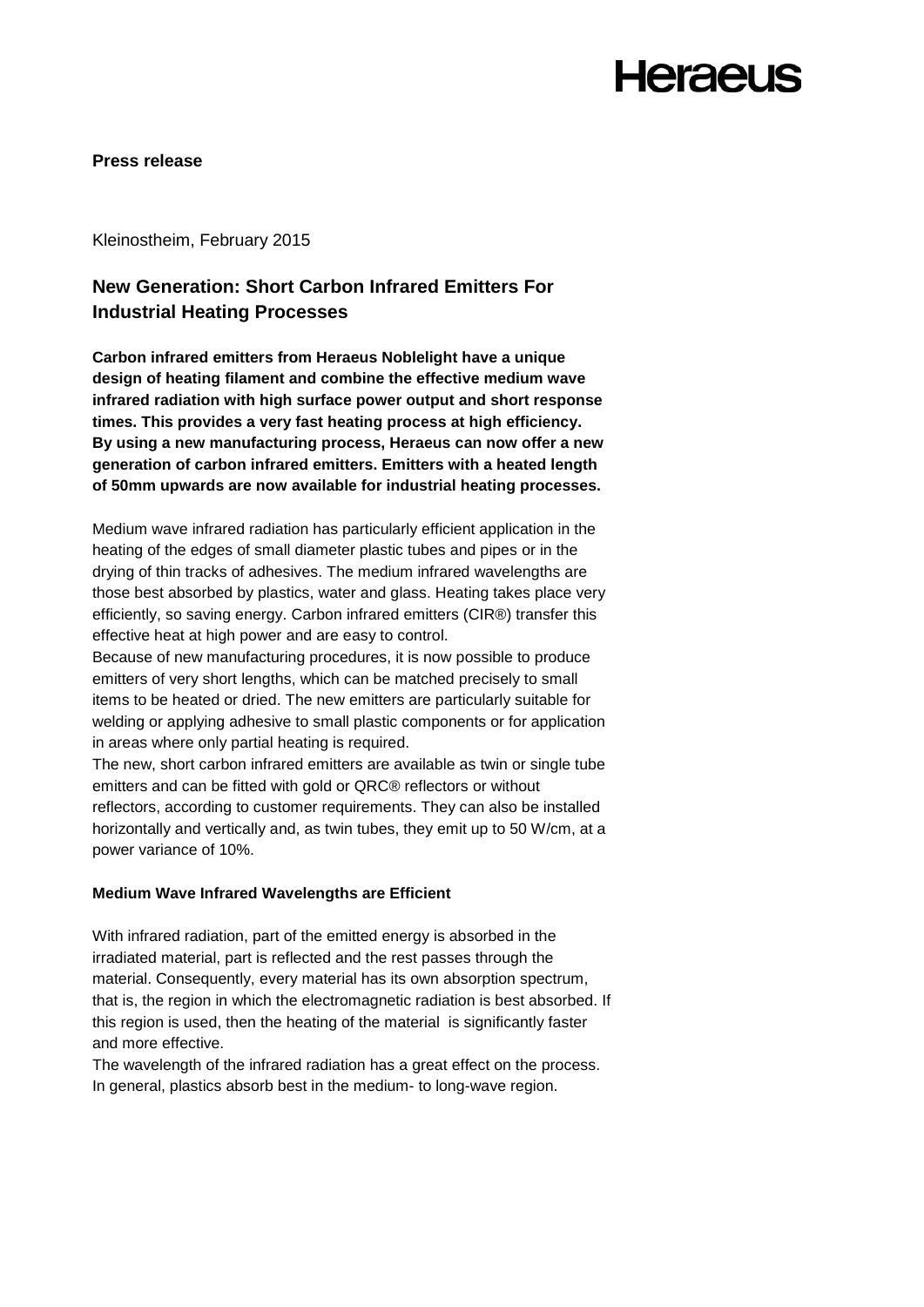## **Heraeus**

#### **Press release**

Kleinostheim, February 2015

### **New Generation: Short Carbon Infrared Emitters For Industrial Heating Processes**

**Carbon infrared emitters from Heraeus Noblelight have a unique design of heating filament and combine the effective medium wave infrared radiation with high surface power output and short response times. This provides a very fast heating process at high efficiency. By using a new manufacturing process, Heraeus can now offer a new generation of carbon infrared emitters. Emitters with a heated length of 50mm upwards are now available for industrial heating processes.**

Medium wave infrared radiation has particularly efficient application in the heating of the edges of small diameter plastic tubes and pipes or in the drying of thin tracks of adhesives. The medium infrared wavelengths are those best absorbed by plastics, water and glass. Heating takes place very efficiently, so saving energy. Carbon infrared emitters (CIR®) transfer this effective heat at high power and are easy to control.

Because of new manufacturing procedures, it is now possible to produce emitters of very short lengths, which can be matched precisely to small items to be heated or dried. The new emitters are particularly suitable for welding or applying adhesive to small plastic components or for application in areas where only partial heating is required.

The new, short carbon infrared emitters are available as twin or single tube emitters and can be fitted with gold or QRC® reflectors or without reflectors, according to customer requirements. They can also be installed horizontally and vertically and, as twin tubes, they emit up to 50 W/cm, at a power variance of 10%.

#### **Medium Wave Infrared Wavelengths are Efficient**

With infrared radiation, part of the emitted energy is absorbed in the irradiated material, part is reflected and the rest passes through the material. Consequently, every material has its own absorption spectrum, that is, the region in which the electromagnetic radiation is best absorbed. If this region is used, then the heating of the material is significantly faster and more effective.

The wavelength of the infrared radiation has a great effect on the process. In general, plastics absorb best in the medium- to long-wave region.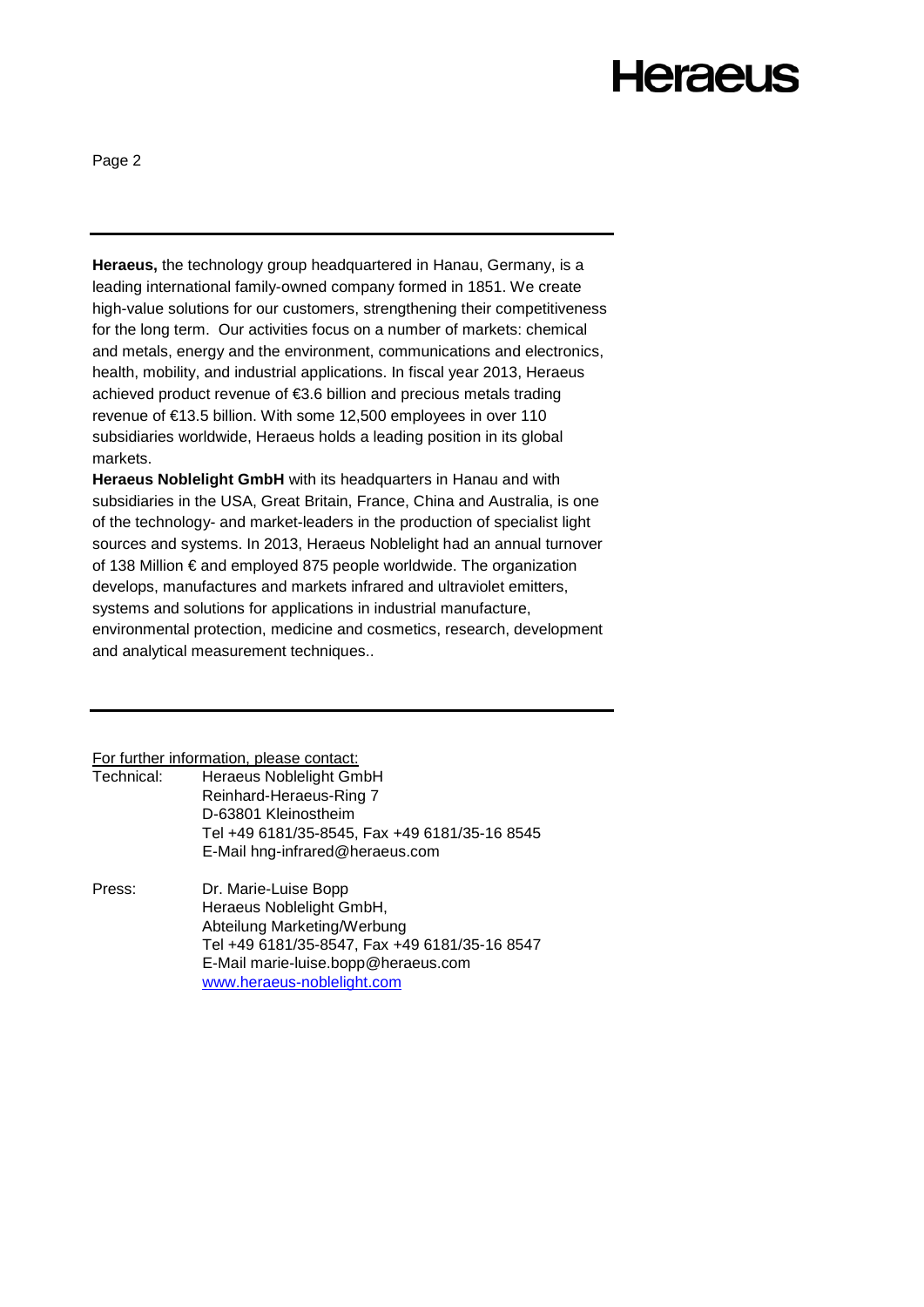# **Heraeus**

Page 2

**Heraeus,** the technology group headquartered in Hanau, Germany, is a leading international family-owned company formed in 1851. We create high-value solutions for our customers, strengthening their competitiveness for the long term. Our activities focus on a number of markets: chemical and metals, energy and the environment, communications and electronics, health, mobility, and industrial applications. In fiscal year 2013, Heraeus achieved product revenue of €3.6 billion and precious metals trading revenue of €13.5 billion. With some 12,500 employees in over 110 subsidiaries worldwide, Heraeus holds a leading position in its global markets.

**Heraeus Noblelight GmbH** with its headquarters in Hanau and with subsidiaries in the USA, Great Britain, France, China and Australia, is one of the technology- and market-leaders in the production of specialist light sources and systems. In 2013, Heraeus Noblelight had an annual turnover of 138 Million € and employed 875 people worldwide. The organization develops, manufactures and markets infrared and ultraviolet emitters, systems and solutions for applications in industrial manufacture, environmental protection, medicine and cosmetics, research, development and analytical measurement techniques..

For further information, please contact:

| Technical: | Heraeus Noblelight GmbH                       |
|------------|-----------------------------------------------|
|            | Reinhard-Heraeus-Ring 7                       |
|            | D-63801 Kleinostheim                          |
|            | Tel +49 6181/35-8545, Fax +49 6181/35-16 8545 |
|            | E-Mail hng-infrared@heraeus.com               |
|            |                                               |

Press: Dr. Marie-Luise Bopp Heraeus Noblelight GmbH, Abteilung Marketing/Werbung Tel +49 6181/35-8547, Fax +49 6181/35-16 8547 E-Mail marie-luise.bopp@heraeus.com [www.heraeus-noblelight.com](http://www.heraeus-noblelight.com/)